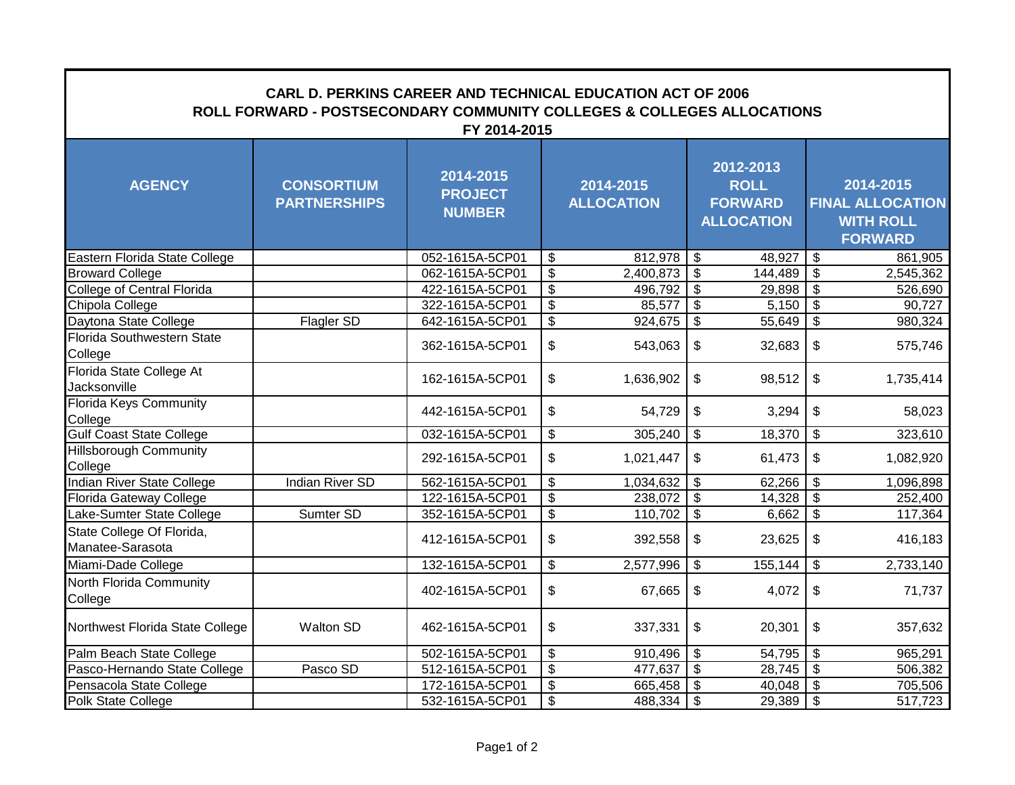| <b>CARL D. PERKINS CAREER AND TECHNICAL EDUCATION ACT OF 2006</b><br>ROLL FORWARD - POSTSECONDARY COMMUNITY COLLEGES & COLLEGES ALLOCATIONS<br>FY 2014-2015 |                                          |                                              |                           |                                |                                        |                                                                 |                          |                                                                            |  |  |  |  |
|-------------------------------------------------------------------------------------------------------------------------------------------------------------|------------------------------------------|----------------------------------------------|---------------------------|--------------------------------|----------------------------------------|-----------------------------------------------------------------|--------------------------|----------------------------------------------------------------------------|--|--|--|--|
| <b>AGENCY</b>                                                                                                                                               | <b>CONSORTIUM</b><br><b>PARTNERSHIPS</b> | 2014-2015<br><b>PROJECT</b><br><b>NUMBER</b> |                           | 2014-2015<br><b>ALLOCATION</b> |                                        | 2012-2013<br><b>ROLL</b><br><b>FORWARD</b><br><b>ALLOCATION</b> |                          | 2014-2015<br><b>FINAL ALLOCATION</b><br><b>WITH ROLL</b><br><b>FORWARD</b> |  |  |  |  |
| Eastern Florida State College                                                                                                                               |                                          | 052-1615A-5CP01                              | \$                        | 812,978                        | \$                                     | 48,927                                                          | $\sqrt{3}$               | 861,905                                                                    |  |  |  |  |
| <b>Broward College</b>                                                                                                                                      |                                          | 062-1615A-5CP01                              | $\overline{\mathcal{S}}$  | 2,400,873                      | \$                                     | 144,489                                                         | $\overline{\mathbf{s}}$  | 2,545,362                                                                  |  |  |  |  |
| <b>College of Central Florida</b>                                                                                                                           |                                          | 422-1615A-5CP01                              | $\overline{\mathbf{3}}$   | 496,792                        | $\overline{\boldsymbol{\mathfrak{s}}}$ | 29,898                                                          | $\overline{\mathcal{S}}$ | 526,690                                                                    |  |  |  |  |
| Chipola College                                                                                                                                             |                                          | 322-1615A-5CP01                              | $\overline{\mathbf{3}}$   | 85,577                         | $\overline{\boldsymbol{\mathfrak{s}}}$ | 5,150                                                           | $\sqrt{3}$               | $\overline{90,727}$                                                        |  |  |  |  |
| Daytona State College                                                                                                                                       | Flagler SD                               | 642-1615A-5CP01                              | $\overline{\mathcal{S}}$  | 924,675                        | $\overline{\mathcal{S}}$               | 55,649                                                          | $\overline{\mathcal{S}}$ | 980,324                                                                    |  |  |  |  |
| Florida Southwestern State<br>College                                                                                                                       |                                          | 362-1615A-5CP01                              | $\boldsymbol{\mathsf{S}}$ | 543,063                        | \$                                     | 32,683                                                          | $\mathfrak{S}$           | 575,746                                                                    |  |  |  |  |
| Florida State College At<br>Jacksonville                                                                                                                    |                                          | 162-1615A-5CP01                              | $\boldsymbol{\mathsf{S}}$ | 1,636,902                      | \$                                     | 98,512                                                          | \$                       | 1,735,414                                                                  |  |  |  |  |
| <b>Florida Keys Community</b><br>College                                                                                                                    |                                          | 442-1615A-5CP01                              | \$                        | 54,729                         | \$                                     | 3,294                                                           | $\mathfrak{S}$           | 58,023                                                                     |  |  |  |  |
| <b>Gulf Coast State College</b>                                                                                                                             |                                          | 032-1615A-5CP01                              | \$                        | 305,240                        | \$                                     | 18,370                                                          | $\sqrt[6]{\frac{1}{2}}$  | 323,610                                                                    |  |  |  |  |
| <b>Hillsborough Community</b><br>College                                                                                                                    |                                          | 292-1615A-5CP01                              | \$                        | 1,021,447                      | \$                                     | 61,473                                                          | \$                       | 1,082,920                                                                  |  |  |  |  |
| Indian River State College                                                                                                                                  | <b>Indian River SD</b>                   | 562-1615A-5CP01                              | \$                        | 1,034,632                      | $\boldsymbol{\mathsf{S}}$              | 62,266                                                          | $\overline{\mathbf{3}}$  | 1,096,898                                                                  |  |  |  |  |
| Florida Gateway College                                                                                                                                     |                                          | 122-1615A-5CP01                              | $\boldsymbol{\mathsf{S}}$ | 238,072                        | $\boldsymbol{\mathsf{\$}}$             |                                                                 |                          | 252,400                                                                    |  |  |  |  |
| Lake-Sumter State College                                                                                                                                   | Sumter SD                                | 352-1615A-5CP01                              | $\overline{\mathcal{S}}$  | 110,702                        | $\boldsymbol{\mathsf{\$}}$             | $6,662$ \$                                                      |                          | 117,364                                                                    |  |  |  |  |
| State College Of Florida,<br>Manatee-Sarasota                                                                                                               |                                          | 412-1615A-5CP01                              | $\boldsymbol{\mathsf{S}}$ | 392,558                        | \$                                     | 23,625                                                          | \$                       | 416,183                                                                    |  |  |  |  |
| Miami-Dade College                                                                                                                                          |                                          | 132-1615A-5CP01                              | \$                        | 2,577,996                      | $\overline{\mathbf{3}}$                | 155,144                                                         | $\sqrt{3}$               | 2,733,140                                                                  |  |  |  |  |
| North Florida Community<br>College                                                                                                                          |                                          | 402-1615A-5CP01                              | $\mathfrak{S}$            | 67,665                         | $\boldsymbol{\mathsf{S}}$              | 4,072                                                           | \$                       | 71,737                                                                     |  |  |  |  |
| Northwest Florida State College                                                                                                                             | <b>Walton SD</b>                         | 462-1615A-5CP01                              | $\boldsymbol{\mathsf{S}}$ | 337,331                        | \$                                     | 20,301                                                          | \$                       | 357,632                                                                    |  |  |  |  |
| Palm Beach State College                                                                                                                                    |                                          | 502-1615A-5CP01                              | \$                        | 910,496                        | \$                                     | 54,795                                                          | $\overline{\mathcal{S}}$ | 965,291                                                                    |  |  |  |  |
| Pasco-Hernando State College                                                                                                                                | Pasco SD                                 | 512-1615A-5CP01                              | $\overline{\$}$           | 477,637                        | $\overline{\$}$                        | 28,745                                                          | $\overline{\mathcal{S}}$ | 506,382                                                                    |  |  |  |  |
| Pensacola State College                                                                                                                                     |                                          | 172-1615A-5CP01                              | \$                        | 665,458                        | \$                                     | 40,048                                                          | $\sqrt{3}$               | 705,506                                                                    |  |  |  |  |
| Polk State College                                                                                                                                          |                                          | 532-1615A-5CP01                              | $\overline{\mathcal{S}}$  | 488,334                        | $\sqrt{3}$                             | 29,389                                                          | $\sqrt{3}$               | 517,723                                                                    |  |  |  |  |